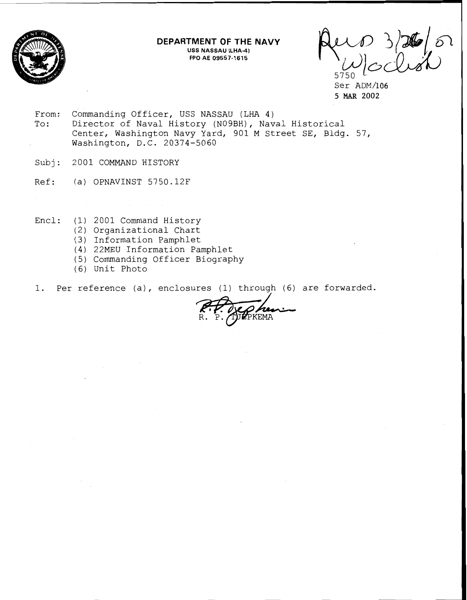

## **DEPARTMENT OF THE NAVY USS NASSAU (LHA-4) FPO AE 09557-1615**

 $\delta$ 5750

Ser ADM/106 **5** MAR 2002

- From: Commanding Officer, USS NASSAU (LHA 4) To: Director of Naval History (NOgBH), Naval Historical Center, Washington Navy Yard, 901 M Street SE, Bldg. 57, Washington, D.C. 20374-5060
- Subj: 2001 COMMAND HISTORY
- Ref: (a) OPNAVINST 5750.12F
- Encl: (1) 2001 Command History
	- (2) Organizational Chart
	- (3) Information Pamphlet
	- (4) 22MEU Information Pamphlet
	- (5) Commanding Officer Biography
	- (6) Unit Photo
- 1. Per reference (a), enclosures (1) through (6) are forwarded.

KEMA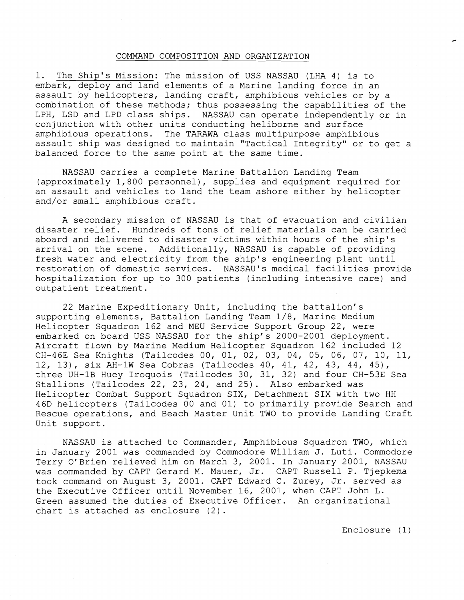## COMMAND COMPOSITION AND ORGANIZATION

1. The Ship's Mission: The mission of USS NASSAU (LHA 4) is to embark, deploy and land elements of a Marine landing force in an assault by helicopters, landing craft, amphibious vehicles or by a combination of these methods; thus possessing the capabilities of the LPH, LSD and LPD class ships. NASSAU can operate independently or in conjunction with other units conducting heliborne and surface amphibious operations. The TARAWA class multipurpose amphibious assault ship was designed to maintain "Tactical Integrity" or to get a balanced force to the same point at the same time.

NASSAU carries a complete Marine Battalion Landing Team (approximately 1,800 personnel), supplies and equipment required for an assault and vehicles to land the team ashore either by helicopter and/or small amphibious craft.

A secondary mission of NASSAU is that of evacuation and civilian disaster relief. Hundreds of tons of relief materials can be carried aboard and delivered to disaster victims within hours of the ship's arrival on the scene. Additionally, NASSAU is capable of providing fresh water and electricity from the ship's engineering plant until restoration of domestic services. NASSAU'S medical facilities provide hospitalization for up to 300 patients (including intensive care) and outpatient treatment.

22 Marine Expeditionary Unit, including the battalion's supporting elements, Battalion Landing Team 1/8, Marine Medium Helicopter Squadron 162 and MEU Service Support Group 22, were embarked on board USS NASSAU for the ship's 2000-2001 deployment. Aircraft flown by Marine Medium Helicopter Squadron 162 included 12 CH-46E Sea Knights (Tailcodes 00, 01, 02, 03, 04, 05, 06, 07, 10, 11, 12, 13), six AH-1W Sea Cobras (Tailcodes 40, 41, 42, 43, 44, 45), three UH-1B Huey Iroquois (Tailcodes 30, 31, 32) and four CH-53E Sea Stallions (Tailcodes 22, 23, 24, and 25). Also embarked was Helicopter Combat Support Squadron SIX, Detachment SIX with two HH 46D helicopters (Tailcodes 00 and 01) to primarily provide Search and Rescue operations, and Beach Master Unit TWO to provide Landing Craft Unit support.

NASSAU is attached to Commander, Amphibious Squadron TWO, which in January 2001 was commanded by Commodore William J. Luti. Commodore Terry O'Brien relieved him on March 3, 2001. In January 2001, NASSAU was commanded by CAPT Gerard M. Mauer, Jr. CAPT Russell P. Tjepkema took command on August 3, 2001. CAPT Edward C. Zurey, Jr. served as the Executive Officer until November 16, 2001, when CAPT John L. Green assumed the duties of Executive Officer. An organizational chart is attached as enclosure (2).

Enclosure (1)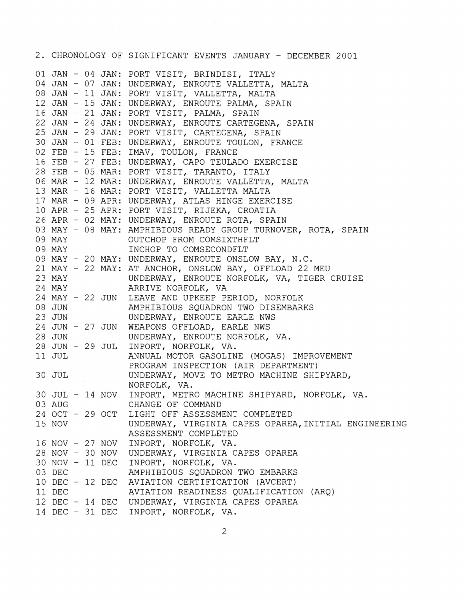2. CHRONOLOGY OF SIGNIFICANT EVENTS JANUARY - DECEMBER 2001 01 JAN - 04 JAN: PORT VISIT, BRINDISI, ITALY 04 JAN - 07 JAN: UNDERWAY, ENROUTE VALLETTA, MALTA 04 JAN - 07 JAN: UNDERWAI, ENROUIE VALLEIIA,<br>08 JAN - 11 JAN: PORT VISIT, VALLETTA, MALTA 12 JAN - 15 JAN: UNDERWAY, ENROUTE PALMA, SPAIN 12 UAN - 13 UAN: UNDERWAI, ENROUIE FALMA,<br>16 JAN - 21 JAN: PORT VISIT, PALMA, SPAIN 22 JAN - 24 JAN: UNDERWAY, ENROUTE CARTEGENA, SPAIN 22 JAN 24 JAN: UNDERWAI, ENROUIE CARIEGENA,<br>25 JAN - 29 JAN: PORT VISIT, CARTEGENA, SPAIN 30 JAN - 01 FEB: UNDERWAY, ENROUTE TOULON, FRANCE 30 OAN OI FEB: ONDENWAI, ENNOOTE TOO. 16 FEB - 27 FEB: UNDERWAY, CAPO TEULADO EXERCISE 10 FEB - 27 FEB. ONDERWAI, CAPO IEOLADO EXER<br>28 FEB - 05 MAR: PORT VISIT, TARANTO, ITALY 06 MAR - 12 MAR: UNDERWAY, ENROUTE VALLETTA, MALTA 00 MAR - 12 MAR: ONDERWAI, ENROUIE VALLEIIA,<br>13 MAR - 16 MAR: PORT VISIT, VALLETTA MALTA 17 MAR - 09 APR: UNDERWAY, ATLAS HINGE EXERCISE 17 MAR - 09 APR: ONDERWAI, AILAS MINGE EXERCI.<br>10 APR - 25 APR: PORT VISIT, RIJEKA, CROATIA 10 AFR - 25 AFR. FORT VISIT, RIGERA, CROATIA<br>26 APR - 02 MAY: UNDERWAY, ENROUTE ROTA, SPAIN 20 AFR - 02 MAI: UNDERWAI, ENROUIE ROIA, SPAIN<br>03 MAY - 08 MAY: AMPHIBIOUS READY GROUP TURNOVER, ROTA, SPAIN 09 MAY 09 MAY 09 MAY - 20 MAY: UNDERWAY, ENROUTE ONSLOW BAY, N. C. 21 MAY - 22 MAY: AT ANCHOR, ONSLOW BAY, OFFLOAD 22 MEU 23 MAY 24 MAY 24 MAY - 22 JUN 08 JUN 23 JUN 24 JUN - 27 JUN 28 JUN 28 JUN - 29 JUL 11 JUL 30 JUL 30 JUL - 14 NOV 03 AUG 24 OCT - 29 OCT 15 NOV 16 NOV - 27 NOV 28 NOV - 30 NOV 30 NOV - 11 DEC 03 DEC 03 DEC - 12 DEC AVIATIBIOOS SQOADRON INO EMBARRS<br>10 DEC - 12 DEC AVIATION CERTIFICATION (AVCERT) 11 DEC 12 DEC - 14 DEC UNDERWAY, VIRGINIA CAPES OPAREA 12 DEC - 14 DEC ONDERWAI, VIRGINIA CA OUTCHOP FROM COMSIXTHFLT INCHOP TO COMSECONDFLT UNDERWAY, ENROUTE NORFOLK, VA, TIGER CRUISE ARRIVE NORFOLK, VA LEAVE AND UPKEEP PERIOD, NORFOLK AMPHIBIOUS SQUADRON TWO DISEMBARKS UNDERWAY, ENROUTE EARLE NWS WEAPONS OFFLOAD, EARLE NWS UNDERWAY, ENROUTE NORFOLK, VA. INPORT, NORFOLK, VA. ANNUAL MOTOR GASOLINE (MOGAS) IMPROVEMENT PROGRAM INSPECTION (AIR DEPARTMENT) UNDERWAY, MOVE TO METRO MACHINE SHIPYARD, NORFOLK, VA. INPORT, METRO MACHINE SHIPYARD, NORFOLK, VA. CHANGE OF COMMAND LIGHT OFF ASSESSMENT COMPLETED UNDERWAY, VIRGINIA CAPES OPAREA,INITIAL ENGINEERING ASSESSMENT COMPLETED INPORT, NORFOLK, VA. UNDERWAY, VIRGINIA CAPES OPAREA INPORT, NORFOLK, VA. AMPHIBIOUS SQUADRON TWO EMBARKS AVIATION READINESS QUALIFICATION (ARQ)

2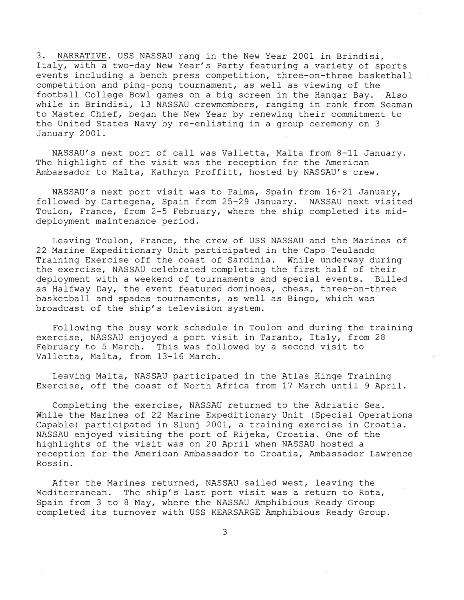3. NARRATIVE. USS NASSAU rang in the New Year 2001 in Brindisi, Italy, with a two-day New Year's Party featuring a variety of sports events including a bench press competition, three-on-three basketball competition and ping-pong tournament, as well as viewing of the football College Bowl games on a big screen in the Hangar Bay. Also while in Brindisi, 13 NASSAU crewmembers, ranging in rank from Seaman to Master Chief, began the New Year by renewing their commitment to the United States Navy by re-enlisting in a group ceremony on 3 January 2001.

NASSAU's next port of call was Valletta, Malta from 8-11 January. The highlight of the visit was the reception for the American Ambassador to Malta, Kathryn Proffitt, hosted by NASSAU's crew.

NASSAU's next port visit was to Palma, Spain from 16-21 January, followed by Cartegena, Spain from 25-29 January. NASSAU next visited Toulon, France, from 2-5 February, where the ship completed its middeployment maintenance period.

Leaving Toulon, France, the crew of USS NASSAU and the Marines of 22 Marine Expeditionary Unit participated in the Capo Teulando Training Exercise off the coast of Sardinia. While underway during the exercise, NASSAU celebrated completing the first half of their deployment with a weekend of tournaments and special events. Billed as Halfway Day, the event featured dominoes, chess, three-on-three basketball and spades tournaments, as well as Bingo, which was broadcast of the ship's television system.

Following the busy work schedule in Toulon and during the training exercise, NASSAU enjoyed a port visit in Taranto, Italy, from 28 February to 5 March. This was followed by a second visit to Valletta, Malta, from 13-16 March.

Leaving Malta, NASSAU participated in the Atlas Hinge Training Exercise, off the coast of North Africa from 17 March until 9 April.

Completing the exercise, NASSAU returned to the Adriatic Sea. While the Marines of 22 Marine Expeditionary Unit (Special Operations Capable) participated in Slunj 2001, a training exercise in Croatia. NASSAU enjoyed visiting the port of Rijeka, Croatia. One of the highlights of the visit was on 20 April when NASSAU hosted a reception for the American Ambassador to Croatia, Ambassador Lawrence Rossin.

After the Marines returned, NASSAU sailed west, leaving the Mediterranean. The ship's last port visit was a return to Rota, Spain from 3 to 8 May, where the NASSAU Amphibious Ready Group completed its turnover with USS KEARSARGE Amphibious Ready Group.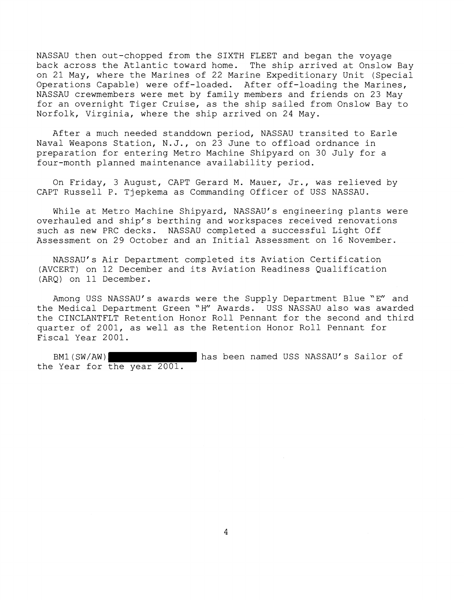NASSAU then out-chopped from the SIXTH FLEET and began the voyage back across the Atlantic toward home. The ship arrived at Onslow Bay on 21 May, where the Marines of 22 Marine Expeditionary Unit (Special Operations Capable) were off-loaded. After off-loading the Marines, NASSAU crewmembers were met by family members and friends on 23 May for an overnight Tiger Cruise, as the ship sailed from Onslow Bay to Norfolk, Virginia, where the ship arrived on 24 May.

After a much needed standdown period, NASSAU transited to Earle Naval Weapons Station, N.J., on 23 June to offload ordnance in preparation for entering Metro Machine Shipyard on 30 July for a four-month planned maintenance availability period.

On Friday, 3 August, CAPT Gerard M. Mauer, Jr., was relieved by CAPT Russell P. Tjepkema as Commanding Officer of USS NASSAU.

While at Metro Machine Shipyard, NASSAU's engineering plants were overhauled and ship's berthing and workspaces received renovations such as new PRC decks. NASSAU completed a successful Light Off Assessment on 29 October and an Initial Assessment on 16 November.

NASSAU's Air Department completed its Aviation Certification (AVCERT) on 12 December and its Aviation Readiness Qualification (ARQ) on 11 December.

Among USS NASSAU's awards were the Supply Department Blue "E" and the Medical Department Green "H" Awards. USS NASSAU also was awarded the CINCLANTFLT Retention Honor Roll Pennant for the second and third quarter of 2001, as well as the Retention Honor Roll Pennant for Fiscal Year 2001.

BMl(SW/AW) has been named USS NASSAU's Sailor of the Year for the year 2001.